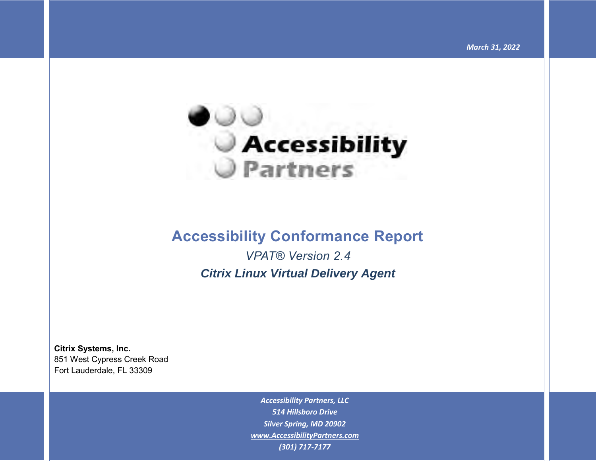

## **Accessibility Conformance Report**

*VPAT® Version 2.4 Citrix Linux Virtual Delivery Agent*

**Citrix Systems, Inc.** 851 West Cypress Creek Road Fort Lauderdale, FL 33309

> *Accessibility Partners, LLC 514 Hillsboro Drive Silver Spring, MD 20902 [www.AccessibilityPartners.com](http://www.accessibilitypartners.com/) (301) 717-7177*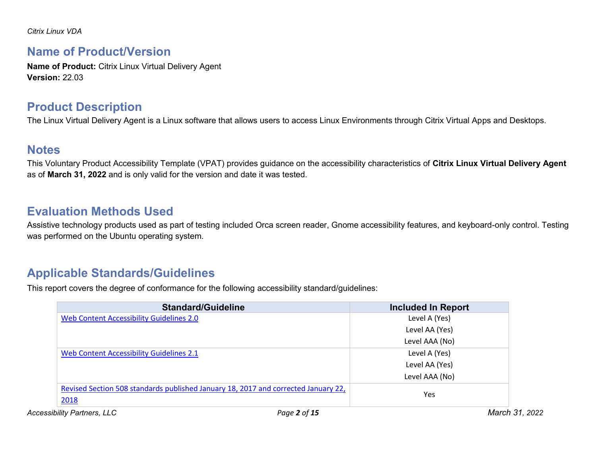### **Name of Product/Version**

**Name of Product:** Citrix Linux Virtual Delivery Agent **Version:** 22.03

### **Product Description**

The Linux Virtual Delivery Agent is a Linux software that allows users to access Linux Environments through Citrix Virtual Apps and Desktops.

### **Notes**

This Voluntary Product Accessibility Template (VPAT) provides guidance on the accessibility characteristics of **Citrix Linux Virtual Delivery Agent**  as of **March 31, 2022** and is only valid for the version and date it was tested.

### **Evaluation Methods Used**

Assistive technology products used as part of testing included Orca screen reader, Gnome accessibility features, and keyboard-only control. Testing was performed on the Ubuntu operating system.

### **Applicable Standards/Guidelines**

This report covers the degree of conformance for the following accessibility standard/guidelines:

| <b>Standard/Guideline</b>                                                          | <b>Included In Report</b>      |
|------------------------------------------------------------------------------------|--------------------------------|
| Web Content Accessibility Guidelines 2.0                                           | Level A (Yes)                  |
|                                                                                    | Level AA (Yes)                 |
|                                                                                    | Level AAA (No)                 |
| Web Content Accessibility Guidelines 2.1                                           | Level A (Yes)                  |
|                                                                                    | Level AA (Yes)                 |
|                                                                                    | Level AAA (No)                 |
| Revised Section 508 standards published January 18, 2017 and corrected January 22, |                                |
| 2018                                                                               | Yes                            |
| <b>Accessibility Partners, LLC</b>                                                 | March 31, 2022<br>Page 2 of 15 |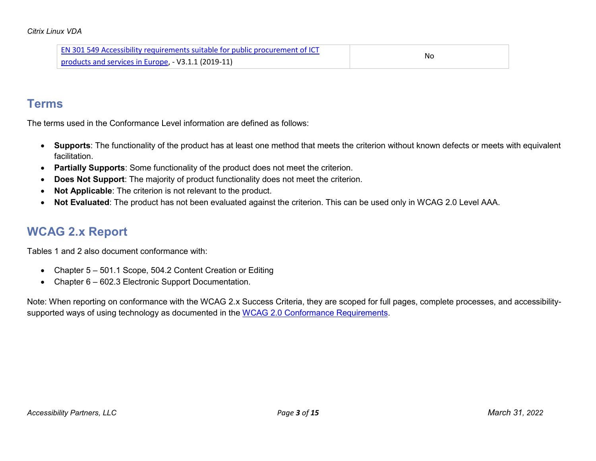| <b>EN 301 549 Accessibility requirements suitable for public procurement of ICT</b> |    |
|-------------------------------------------------------------------------------------|----|
| products and services in Europe, - V3.1.1 (2019-11)                                 | No |

### **Terms**

The terms used in the Conformance Level information are defined as follows:

- **Supports**: The functionality of the product has at least one method that meets the criterion without known defects or meets with equivalent facilitation.
- **Partially Supports**: Some functionality of the product does not meet the criterion.
- **Does Not Support**: The majority of product functionality does not meet the criterion.
- **Not Applicable**: The criterion is not relevant to the product.
- **Not Evaluated**: The product has not been evaluated against the criterion. This can be used only in WCAG 2.0 Level AAA.

## **WCAG 2.x Report**

Tables 1 and 2 also document conformance with:

- Chapter 5 501.1 Scope, 504.2 Content Creation or Editing
- Chapter 6 602.3 Electronic Support Documentation.

Note: When reporting on conformance with the WCAG 2.x Success Criteria, they are scoped for full pages, complete processes, and accessibility-supported ways of using technology as documented in the [WCAG 2.0 Conformance Requirements.](https://www.w3.org/TR/WCAG20/#conformance-reqs)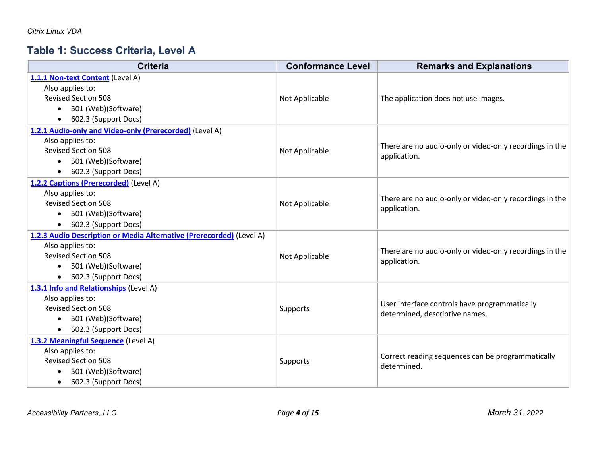## **Table 1: Success Criteria, Level A**

| <b>Criteria</b>                                                      | <b>Conformance Level</b> | <b>Remarks and Explanations</b>                                                 |
|----------------------------------------------------------------------|--------------------------|---------------------------------------------------------------------------------|
| 1.1.1 Non-text Content (Level A)                                     |                          |                                                                                 |
| Also applies to:                                                     |                          |                                                                                 |
| <b>Revised Section 508</b>                                           | Not Applicable           | The application does not use images.                                            |
| 501 (Web)(Software)<br>$\bullet$                                     |                          |                                                                                 |
| 602.3 (Support Docs)<br>$\bullet$                                    |                          |                                                                                 |
| 1.2.1 Audio-only and Video-only (Prerecorded) (Level A)              |                          |                                                                                 |
| Also applies to:                                                     |                          | There are no audio-only or video-only recordings in the                         |
| <b>Revised Section 508</b>                                           | Not Applicable           | application.                                                                    |
| 501 (Web)(Software)<br>$\bullet$                                     |                          |                                                                                 |
| 602.3 (Support Docs)<br>$\bullet$                                    |                          |                                                                                 |
| 1.2.2 Captions (Prerecorded) (Level A)                               |                          |                                                                                 |
| Also applies to:                                                     |                          | There are no audio-only or video-only recordings in the                         |
| <b>Revised Section 508</b>                                           | Not Applicable           | application.                                                                    |
| 501 (Web)(Software)<br>$\bullet$                                     |                          |                                                                                 |
| 602.3 (Support Docs)<br>$\bullet$                                    |                          |                                                                                 |
| 1.2.3 Audio Description or Media Alternative (Prerecorded) (Level A) |                          |                                                                                 |
| Also applies to:                                                     |                          | There are no audio-only or video-only recordings in the                         |
| <b>Revised Section 508</b>                                           | Not Applicable           | application.                                                                    |
| 501 (Web)(Software)<br>$\bullet$                                     |                          |                                                                                 |
| 602.3 (Support Docs)<br>$\bullet$                                    |                          |                                                                                 |
| 1.3.1 Info and Relationships (Level A)                               |                          |                                                                                 |
| Also applies to:                                                     |                          |                                                                                 |
| <b>Revised Section 508</b>                                           | Supports                 | User interface controls have programmatically<br>determined, descriptive names. |
| 501 (Web)(Software)<br>$\bullet$                                     |                          |                                                                                 |
| 602.3 (Support Docs)<br>$\bullet$                                    |                          |                                                                                 |
| 1.3.2 Meaningful Sequence (Level A)                                  |                          |                                                                                 |
| Also applies to:                                                     |                          |                                                                                 |
| <b>Revised Section 508</b>                                           | Supports                 | Correct reading sequences can be programmatically<br>determined.                |
| 501 (Web)(Software)<br>$\bullet$                                     |                          |                                                                                 |
| 602.3 (Support Docs)<br>$\bullet$                                    |                          |                                                                                 |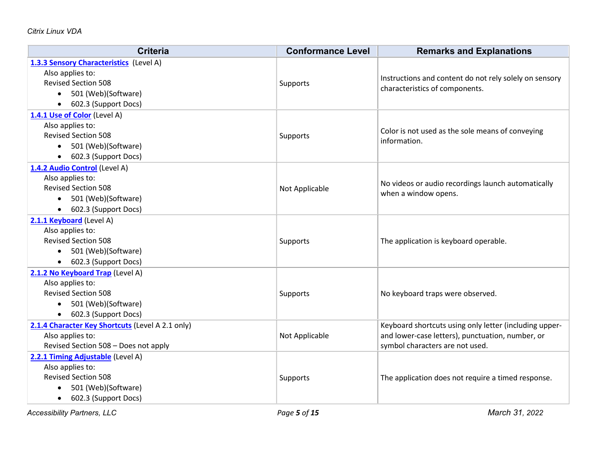| <b>Criteria</b>                                  | <b>Conformance Level</b> | <b>Remarks and Explanations</b>                        |
|--------------------------------------------------|--------------------------|--------------------------------------------------------|
| 1.3.3 Sensory Characteristics (Level A)          |                          |                                                        |
| Also applies to:                                 |                          | Instructions and content do not rely solely on sensory |
| <b>Revised Section 508</b>                       | <b>Supports</b>          | characteristics of components.                         |
| 501 (Web)(Software)<br>$\bullet$                 |                          |                                                        |
| 602.3 (Support Docs)<br>$\bullet$                |                          |                                                        |
| 1.4.1 Use of Color (Level A)                     |                          |                                                        |
| Also applies to:                                 |                          | Color is not used as the sole means of conveying       |
| <b>Revised Section 508</b>                       | Supports                 | information.                                           |
| 501 (Web)(Software)<br>$\bullet$                 |                          |                                                        |
| 602.3 (Support Docs)<br>$\bullet$                |                          |                                                        |
| 1.4.2 Audio Control (Level A)                    |                          |                                                        |
| Also applies to:                                 |                          | No videos or audio recordings launch automatically     |
| <b>Revised Section 508</b>                       | Not Applicable           | when a window opens.                                   |
| 501 (Web)(Software)<br>$\bullet$                 |                          |                                                        |
| 602.3 (Support Docs)<br>$\bullet$                |                          |                                                        |
| 2.1.1 Keyboard (Level A)                         |                          |                                                        |
| Also applies to:                                 |                          |                                                        |
| <b>Revised Section 508</b>                       | <b>Supports</b>          | The application is keyboard operable.                  |
| 501 (Web)(Software)<br>$\bullet$                 |                          |                                                        |
| 602.3 (Support Docs)<br>$\bullet$                |                          |                                                        |
| 2.1.2 No Keyboard Trap (Level A)                 |                          |                                                        |
| Also applies to:                                 |                          |                                                        |
| <b>Revised Section 508</b>                       | Supports                 | No keyboard traps were observed.                       |
| 501 (Web)(Software)<br>$\bullet$                 |                          |                                                        |
| 602.3 (Support Docs)<br>$\bullet$                |                          |                                                        |
| 2.1.4 Character Key Shortcuts (Level A 2.1 only) |                          | Keyboard shortcuts using only letter (including upper- |
| Also applies to:                                 | Not Applicable           | and lower-case letters), punctuation, number, or       |
| Revised Section 508 - Does not apply             |                          | symbol characters are not used.                        |
| 2.2.1 Timing Adjustable (Level A)                |                          |                                                        |
| Also applies to:                                 |                          |                                                        |
| <b>Revised Section 508</b>                       | <b>Supports</b>          | The application does not require a timed response.     |
| 501 (Web)(Software)<br>$\bullet$                 |                          |                                                        |
| 602.3 (Support Docs)<br>$\bullet$                |                          |                                                        |

*Accessibility Partners, LLC Page 5 of 15 March 31, 2022*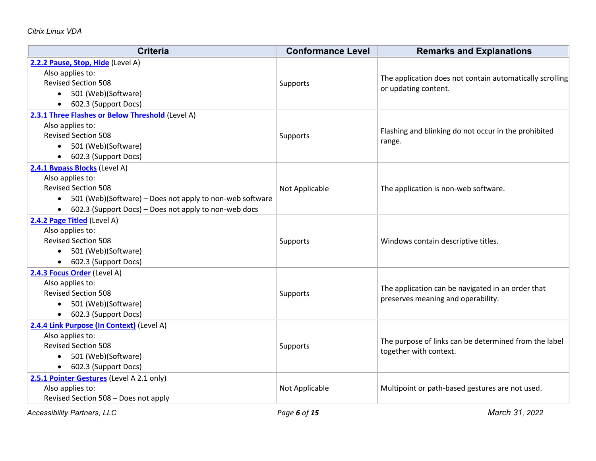| <b>Criteria</b>                                                       | <b>Conformance Level</b> | <b>Remarks and Explanations</b>                          |
|-----------------------------------------------------------------------|--------------------------|----------------------------------------------------------|
| 2.2.2 Pause, Stop, Hide (Level A)                                     |                          |                                                          |
| Also applies to:                                                      |                          | The application does not contain automatically scrolling |
| <b>Revised Section 508</b>                                            | Supports                 | or updating content.                                     |
| 501 (Web)(Software)                                                   |                          |                                                          |
| 602.3 (Support Docs)<br>$\bullet$                                     |                          |                                                          |
| 2.3.1 Three Flashes or Below Threshold (Level A)                      |                          |                                                          |
| Also applies to:                                                      |                          | Flashing and blinking do not occur in the prohibited     |
| <b>Revised Section 508</b>                                            | Supports                 | range.                                                   |
| 501 (Web)(Software)                                                   |                          |                                                          |
| 602.3 (Support Docs)                                                  |                          |                                                          |
| 2.4.1 Bypass Blocks (Level A)                                         |                          |                                                          |
| Also applies to:                                                      |                          |                                                          |
| <b>Revised Section 508</b>                                            | Not Applicable           | The application is non-web software.                     |
| 501 (Web)(Software) – Does not apply to non-web software<br>$\bullet$ |                          |                                                          |
| 602.3 (Support Docs) - Does not apply to non-web docs                 |                          |                                                          |
| 2.4.2 Page Titled (Level A)                                           |                          |                                                          |
| Also applies to:                                                      |                          |                                                          |
| <b>Revised Section 508</b>                                            | Supports                 | Windows contain descriptive titles.                      |
| 501 (Web)(Software)<br>$\bullet$                                      |                          |                                                          |
| • 602.3 (Support Docs)                                                |                          |                                                          |
| 2.4.3 Focus Order (Level A)                                           |                          |                                                          |
| Also applies to:                                                      |                          | The application can be navigated in an order that        |
| <b>Revised Section 508</b>                                            | Supports                 | preserves meaning and operability.                       |
| 501 (Web)(Software)<br>$\bullet$                                      |                          |                                                          |
| 602.3 (Support Docs)                                                  |                          |                                                          |
| 2.4.4 Link Purpose (In Context) (Level A)                             |                          |                                                          |
| Also applies to:                                                      |                          | The purpose of links can be determined from the label    |
| <b>Revised Section 508</b>                                            | Supports                 | together with context.                                   |
| 501 (Web)(Software)                                                   |                          |                                                          |
| • 602.3 (Support Docs)                                                |                          |                                                          |
| 2.5.1 Pointer Gestures (Level A 2.1 only)                             |                          |                                                          |
| Also applies to:                                                      | Not Applicable           | Multipoint or path-based gestures are not used.          |
| Revised Section 508 - Does not apply                                  |                          |                                                          |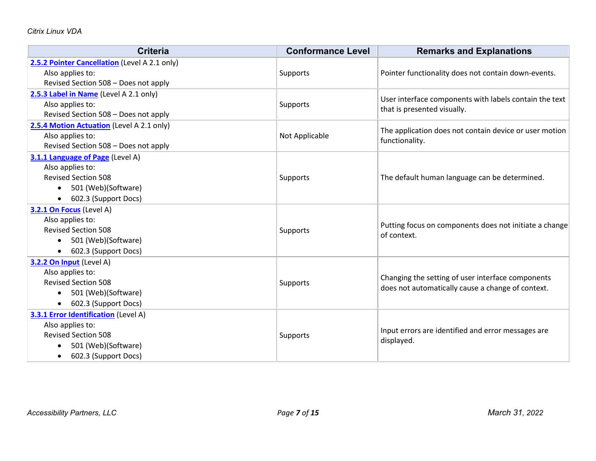| <b>Criteria</b>                               | <b>Conformance Level</b> | <b>Remarks and Explanations</b>                        |
|-----------------------------------------------|--------------------------|--------------------------------------------------------|
| 2.5.2 Pointer Cancellation (Level A 2.1 only) |                          |                                                        |
| Also applies to:                              | Supports                 | Pointer functionality does not contain down-events.    |
| Revised Section 508 - Does not apply          |                          |                                                        |
| 2.5.3 Label in Name (Level A 2.1 only)        |                          | User interface components with labels contain the text |
| Also applies to:                              | Supports                 | that is presented visually.                            |
| Revised Section 508 - Does not apply          |                          |                                                        |
| 2.5.4 Motion Actuation (Level A 2.1 only)     |                          | The application does not contain device or user motion |
| Also applies to:                              | Not Applicable           | functionality.                                         |
| Revised Section 508 - Does not apply          |                          |                                                        |
| 3.1.1 Language of Page (Level A)              |                          |                                                        |
| Also applies to:                              |                          |                                                        |
| <b>Revised Section 508</b>                    | Supports                 | The default human language can be determined.          |
| 501 (Web)(Software)<br>$\bullet$              |                          |                                                        |
| 602.3 (Support Docs)<br>$\bullet$             |                          |                                                        |
| 3.2.1 On Focus (Level A)                      |                          |                                                        |
| Also applies to:                              |                          | Putting focus on components does not initiate a change |
| <b>Revised Section 508</b>                    | Supports                 | of context.                                            |
| 501 (Web)(Software)<br>$\bullet$              |                          |                                                        |
| 602.3 (Support Docs)                          |                          |                                                        |
| 3.2.2 On Input (Level A)                      |                          |                                                        |
| Also applies to:                              |                          | Changing the setting of user interface components      |
| <b>Revised Section 508</b>                    | Supports                 | does not automatically cause a change of context.      |
| 501 (Web)(Software)<br>$\bullet$              |                          |                                                        |
| 602.3 (Support Docs)<br>$\bullet$             |                          |                                                        |
| <b>3.3.1 Error Identification (Level A)</b>   |                          |                                                        |
| Also applies to:                              |                          | Input errors are identified and error messages are     |
| <b>Revised Section 508</b>                    | Supports                 | displayed.                                             |
| 501 (Web)(Software)                           |                          |                                                        |
| 602.3 (Support Docs)<br>$\bullet$             |                          |                                                        |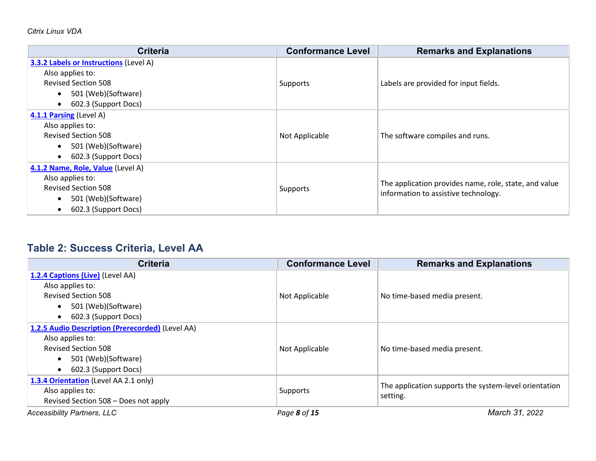| <b>Criteria</b>                               | <b>Conformance Level</b> | <b>Remarks and Explanations</b>                                                               |
|-----------------------------------------------|--------------------------|-----------------------------------------------------------------------------------------------|
| <b>3.3.2 Labels or Instructions (Level A)</b> |                          |                                                                                               |
| Also applies to:                              |                          |                                                                                               |
| <b>Revised Section 508</b>                    | Supports                 | Labels are provided for input fields.                                                         |
| 501 (Web)(Software)<br>$\bullet$              |                          |                                                                                               |
| 602.3 (Support Docs)<br>$\bullet$             |                          |                                                                                               |
| 4.1.1 Parsing (Level A)                       |                          |                                                                                               |
| Also applies to:                              |                          |                                                                                               |
| <b>Revised Section 508</b>                    | Not Applicable           | The software compiles and runs.                                                               |
| 501 (Web)(Software)<br>$\bullet$              |                          |                                                                                               |
| 602.3 (Support Docs)<br>$\bullet$             |                          |                                                                                               |
| 4.1.2 Name, Role, Value (Level A)             |                          |                                                                                               |
| Also applies to:                              |                          |                                                                                               |
| <b>Revised Section 508</b>                    | Supports                 | The application provides name, role, state, and value<br>information to assistive technology. |
| 501 (Web)(Software)<br>$\bullet$              |                          |                                                                                               |
| 602.3 (Support Docs)                          |                          |                                                                                               |

# **Table 2: Success Criteria, Level AA**

| <b>Criteria</b>                                  | <b>Conformance Level</b> | <b>Remarks and Explanations</b>                       |
|--------------------------------------------------|--------------------------|-------------------------------------------------------|
| 1.2.4 Captions (Live) (Level AA)                 |                          |                                                       |
| Also applies to:                                 |                          |                                                       |
| <b>Revised Section 508</b>                       | Not Applicable           | No time-based media present.                          |
| 501 (Web)(Software)<br>$\bullet$                 |                          |                                                       |
| 602.3 (Support Docs)<br>$\bullet$                |                          |                                                       |
| 1.2.5 Audio Description (Prerecorded) (Level AA) |                          |                                                       |
| Also applies to:                                 |                          |                                                       |
| <b>Revised Section 508</b>                       | Not Applicable           | No time-based media present.                          |
| 501 (Web)(Software)<br>$\bullet$                 |                          |                                                       |
| 602.3 (Support Docs)<br>$\bullet$                |                          |                                                       |
| 1.3.4 Orientation (Level AA 2.1 only)            |                          |                                                       |
| Also applies to:                                 | Supports                 | The application supports the system-level orientation |
| Revised Section 508 - Does not apply             |                          | setting.                                              |
| <b>Accessibility Partners, LLC</b>               | Page 8 of 15             | March 31, 2022                                        |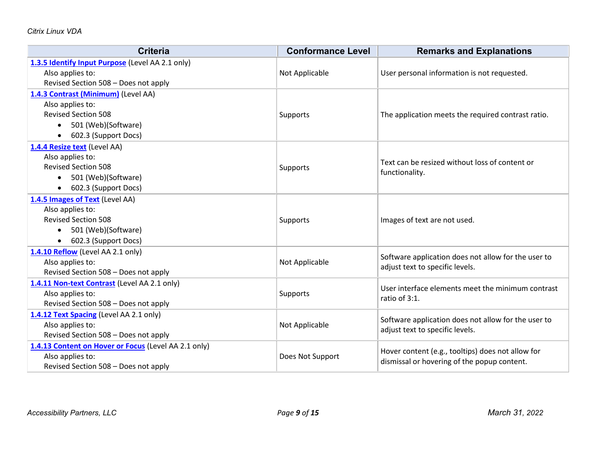| <b>Criteria</b>                                      | <b>Conformance Level</b> | <b>Remarks and Explanations</b>                     |
|------------------------------------------------------|--------------------------|-----------------------------------------------------|
| 1.3.5 Identify Input Purpose (Level AA 2.1 only)     |                          |                                                     |
| Also applies to:                                     | Not Applicable           | User personal information is not requested.         |
| Revised Section 508 - Does not apply                 |                          |                                                     |
| 1.4.3 Contrast (Minimum) (Level AA)                  |                          |                                                     |
| Also applies to:                                     |                          |                                                     |
| <b>Revised Section 508</b>                           | Supports                 | The application meets the required contrast ratio.  |
| 501 (Web)(Software)<br>$\bullet$                     |                          |                                                     |
| 602.3 (Support Docs)                                 |                          |                                                     |
| 1.4.4 Resize text (Level AA)                         |                          |                                                     |
| Also applies to:                                     |                          | Text can be resized without loss of content or      |
| <b>Revised Section 508</b>                           | Supports                 | functionality.                                      |
| 501 (Web)(Software)<br>$\bullet$                     |                          |                                                     |
| 602.3 (Support Docs)                                 |                          |                                                     |
| 1.4.5 Images of Text (Level AA)                      |                          |                                                     |
| Also applies to:                                     |                          |                                                     |
| <b>Revised Section 508</b>                           | Supports                 | Images of text are not used.                        |
| 501 (Web)(Software)<br>$\bullet$                     |                          |                                                     |
| 602.3 (Support Docs)<br>$\bullet$                    |                          |                                                     |
| 1.4.10 Reflow (Level AA 2.1 only)                    |                          | Software application does not allow for the user to |
| Also applies to:                                     | Not Applicable           | adjust text to specific levels.                     |
| Revised Section 508 - Does not apply                 |                          |                                                     |
| 1.4.11 Non-text Contrast (Level AA 2.1 only)         |                          | User interface elements meet the minimum contrast   |
| Also applies to:                                     | Supports                 | ratio of 3:1.                                       |
| Revised Section 508 - Does not apply                 |                          |                                                     |
| 1.4.12 Text Spacing (Level AA 2.1 only)              |                          | Software application does not allow for the user to |
| Also applies to:                                     | Not Applicable           | adjust text to specific levels.                     |
| Revised Section 508 - Does not apply                 |                          |                                                     |
| 1.4.13 Content on Hover or Focus (Level AA 2.1 only) |                          | Hover content (e.g., tooltips) does not allow for   |
| Also applies to:                                     | Does Not Support         | dismissal or hovering of the popup content.         |
| Revised Section 508 - Does not apply                 |                          |                                                     |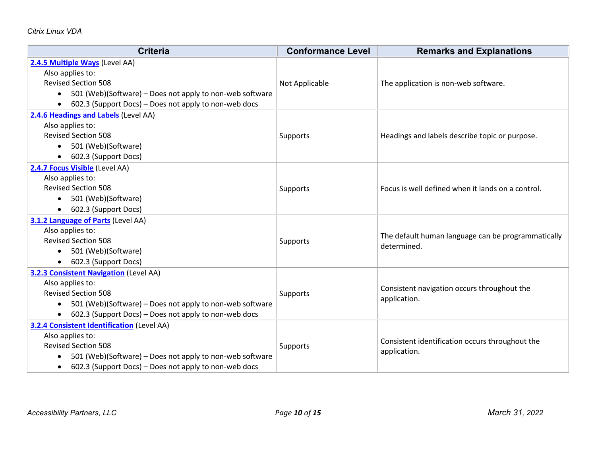| <b>Criteria</b>                                                       | <b>Conformance Level</b> | <b>Remarks and Explanations</b>                    |
|-----------------------------------------------------------------------|--------------------------|----------------------------------------------------|
| 2.4.5 Multiple Ways (Level AA)                                        |                          |                                                    |
| Also applies to:                                                      |                          |                                                    |
| <b>Revised Section 508</b>                                            | Not Applicable           | The application is non-web software.               |
| 501 (Web)(Software) - Does not apply to non-web software              |                          |                                                    |
| 602.3 (Support Docs) - Does not apply to non-web docs<br>$\bullet$    |                          |                                                    |
| 2.4.6 Headings and Labels (Level AA)                                  |                          |                                                    |
| Also applies to:                                                      |                          |                                                    |
| <b>Revised Section 508</b>                                            | Supports                 | Headings and labels describe topic or purpose.     |
| 501 (Web)(Software)                                                   |                          |                                                    |
| 602.3 (Support Docs)<br>$\bullet$                                     |                          |                                                    |
| 2.4.7 Focus Visible (Level AA)                                        |                          |                                                    |
| Also applies to:                                                      |                          |                                                    |
| <b>Revised Section 508</b>                                            | Supports                 | Focus is well defined when it lands on a control.  |
| 501 (Web)(Software)                                                   |                          |                                                    |
| 602.3 (Support Docs)<br>$\bullet$                                     |                          |                                                    |
| 3.1.2 Language of Parts (Level AA)                                    |                          |                                                    |
| Also applies to:                                                      |                          | The default human language can be programmatically |
| <b>Revised Section 508</b>                                            | Supports                 | determined.                                        |
| 501 (Web)(Software)                                                   |                          |                                                    |
| 602.3 (Support Docs)<br>$\bullet$                                     |                          |                                                    |
| <b>3.2.3 Consistent Navigation (Level AA)</b>                         |                          |                                                    |
| Also applies to:                                                      |                          | Consistent navigation occurs throughout the        |
| <b>Revised Section 508</b>                                            | Supports                 | application.                                       |
| 501 (Web)(Software) - Does not apply to non-web software<br>$\bullet$ |                          |                                                    |
| 602.3 (Support Docs) - Does not apply to non-web docs<br>$\bullet$    |                          |                                                    |
| <b>3.2.4 Consistent Identification (Level AA)</b>                     |                          |                                                    |
| Also applies to:                                                      |                          | Consistent identification occurs throughout the    |
| <b>Revised Section 508</b>                                            | Supports                 | application.                                       |
| 501 (Web)(Software) – Does not apply to non-web software<br>$\bullet$ |                          |                                                    |
| 602.3 (Support Docs) – Does not apply to non-web docs<br>$\bullet$    |                          |                                                    |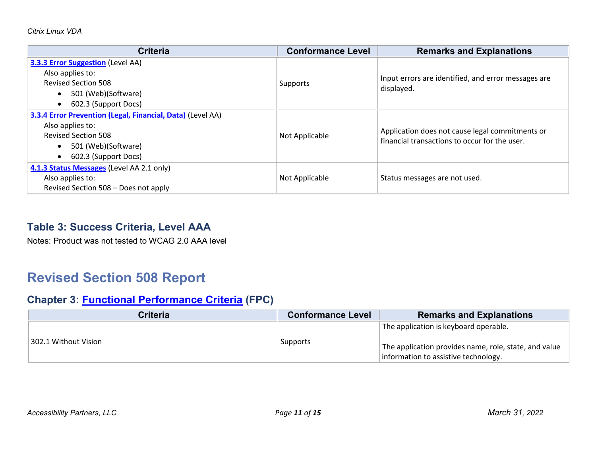| <b>Criteria</b>                                            | <b>Conformance Level</b> | <b>Remarks and Explanations</b>                     |
|------------------------------------------------------------|--------------------------|-----------------------------------------------------|
| <b>3.3.3 Error Suggestion (Level AA)</b>                   |                          |                                                     |
| Also applies to:                                           |                          | Input errors are identified, and error messages are |
| <b>Revised Section 508</b>                                 | Supports                 | displayed.                                          |
| 501 (Web)(Software)                                        |                          |                                                     |
| 602.3 (Support Docs)                                       |                          |                                                     |
| 3.3.4 Error Prevention (Legal, Financial, Data) (Level AA) |                          |                                                     |
| Also applies to:                                           |                          | Application does not cause legal commitments or     |
| <b>Revised Section 508</b>                                 | Not Applicable           | financial transactions to occur for the user.       |
| 501 (Web)(Software)<br>$\bullet$                           |                          |                                                     |
| 602.3 (Support Docs)                                       |                          |                                                     |
| 4.1.3 Status Messages (Level AA 2.1 only)                  |                          |                                                     |
| Also applies to:                                           | Not Applicable           | Status messages are not used.                       |
| Revised Section 508 - Does not apply                       |                          |                                                     |

### **Table 3: Success Criteria, Level AAA**

Notes: Product was not tested to WCAG 2.0 AAA level

# **Revised Section 508 Report**

### **Chapter 3: [Functional Performance Criteria](https://www.access-board.gov/guidelines-and-standards/communications-and-it/about-the-ict-refresh/final-rule/text-of-the-standards-and-guidelines#302-functional-performance-criteria) (FPC)**

| <b>Criteria</b>      | <b>Conformance Level</b> | <b>Remarks and Explanations</b>                                                                                                        |
|----------------------|--------------------------|----------------------------------------------------------------------------------------------------------------------------------------|
| 302.1 Without Vision | Supports                 | The application is keyboard operable.<br>The application provides name, role, state, and value<br>information to assistive technology. |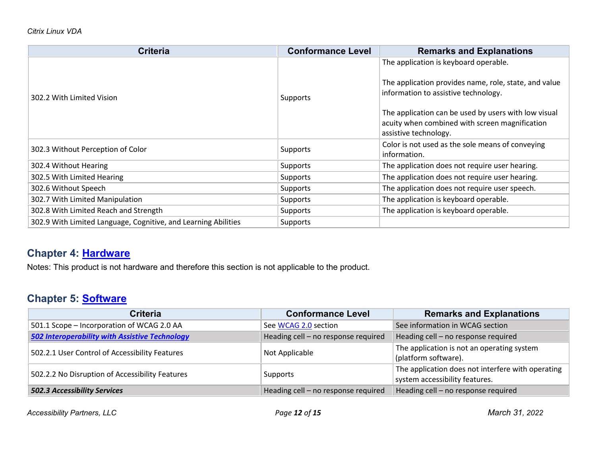| <b>Criteria</b>                                                | <b>Conformance Level</b> | <b>Remarks and Explanations</b>                                                                                                 |
|----------------------------------------------------------------|--------------------------|---------------------------------------------------------------------------------------------------------------------------------|
| 302.2 With Limited Vision                                      | Supports                 | The application is keyboard operable.                                                                                           |
|                                                                |                          | The application provides name, role, state, and value<br>information to assistive technology.                                   |
|                                                                |                          | The application can be used by users with low visual<br>acuity when combined with screen magnification<br>assistive technology. |
| 302.3 Without Perception of Color                              | Supports                 | Color is not used as the sole means of conveying<br>information.                                                                |
| 302.4 Without Hearing                                          | Supports                 | The application does not require user hearing.                                                                                  |
| 302.5 With Limited Hearing                                     | Supports                 | The application does not require user hearing.                                                                                  |
| 302.6 Without Speech                                           | Supports                 | The application does not require user speech.                                                                                   |
| 302.7 With Limited Manipulation                                | Supports                 | The application is keyboard operable.                                                                                           |
| 302.8 With Limited Reach and Strength                          | Supports                 | The application is keyboard operable.                                                                                           |
| 302.9 With Limited Language, Cognitive, and Learning Abilities | Supports                 |                                                                                                                                 |

### **Chapter 4: [Hardware](https://www.access-board.gov/guidelines-and-standards/communications-and-it/about-the-ict-refresh/final-rule/text-of-the-standards-and-guidelines#401-general)**

Notes: This product is not hardware and therefore this section is not applicable to the product.

### **Chapter 5: [Software](https://www.access-board.gov/guidelines-and-standards/communications-and-it/about-the-ict-refresh/final-rule/text-of-the-standards-and-guidelines#501-general)**

| <b>Criteria</b>                                       | <b>Conformance Level</b>            | <b>Remarks and Explanations</b>                                                     |  |
|-------------------------------------------------------|-------------------------------------|-------------------------------------------------------------------------------------|--|
| 501.1 Scope - Incorporation of WCAG 2.0 AA            | See WCAG 2.0 section                | See information in WCAG section                                                     |  |
| <b>502 Interoperability with Assistive Technology</b> | Heading cell - no response required | Heading cell - no response required                                                 |  |
| 502.2.1 User Control of Accessibility Features        | Not Applicable                      | The application is not an operating system<br>(platform software).                  |  |
| 502.2.2 No Disruption of Accessibility Features       | Supports                            | The application does not interfere with operating<br>system accessibility features. |  |
| 502.3 Accessibility Services                          | Heading cell - no response required | Heading cell - no response required                                                 |  |

*Accessibility Partners, LLC Page 12 of 15 March 31, 2022*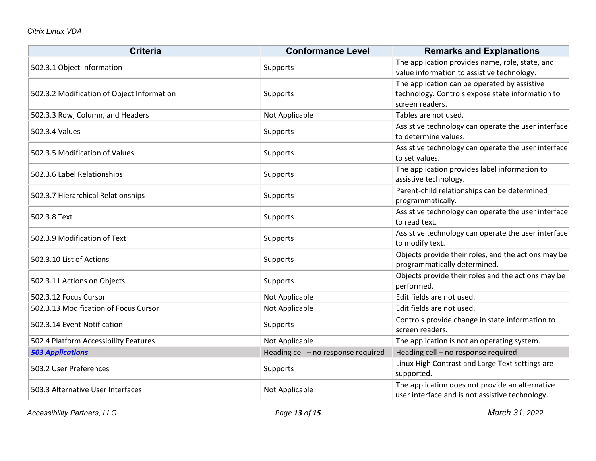| <b>Criteria</b>                            | <b>Conformance Level</b>            | <b>Remarks and Explanations</b>                                                                                     |
|--------------------------------------------|-------------------------------------|---------------------------------------------------------------------------------------------------------------------|
| 502.3.1 Object Information                 | Supports                            | The application provides name, role, state, and<br>value information to assistive technology.                       |
| 502.3.2 Modification of Object Information | Supports                            | The application can be operated by assistive<br>technology. Controls expose state information to<br>screen readers. |
| 502.3.3 Row, Column, and Headers           | Not Applicable                      | Tables are not used.                                                                                                |
| 502.3.4 Values                             | Supports                            | Assistive technology can operate the user interface<br>to determine values.                                         |
| 502.3.5 Modification of Values             | Supports                            | Assistive technology can operate the user interface<br>to set values.                                               |
| 502.3.6 Label Relationships                | Supports                            | The application provides label information to<br>assistive technology.                                              |
| 502.3.7 Hierarchical Relationships         | Supports                            | Parent-child relationships can be determined<br>programmatically.                                                   |
| 502.3.8 Text                               | Supports                            | Assistive technology can operate the user interface<br>to read text.                                                |
| 502.3.9 Modification of Text               | Supports                            | Assistive technology can operate the user interface<br>to modify text.                                              |
| 502.3.10 List of Actions                   | Supports                            | Objects provide their roles, and the actions may be<br>programmatically determined.                                 |
| 502.3.11 Actions on Objects                | Supports                            | Objects provide their roles and the actions may be<br>performed.                                                    |
| 502.3.12 Focus Cursor                      | Not Applicable                      | Edit fields are not used.                                                                                           |
| 502.3.13 Modification of Focus Cursor      | Not Applicable                      | Edit fields are not used.                                                                                           |
| 502.3.14 Event Notification                | Supports                            | Controls provide change in state information to<br>screen readers.                                                  |
| 502.4 Platform Accessibility Features      | Not Applicable                      | The application is not an operating system.                                                                         |
| <b>503 Applications</b>                    | Heading cell - no response required | Heading cell - no response required                                                                                 |
| 503.2 User Preferences                     | Supports                            | Linux High Contrast and Large Text settings are<br>supported.                                                       |
| 503.3 Alternative User Interfaces          | Not Applicable                      | The application does not provide an alternative<br>user interface and is not assistive technology.                  |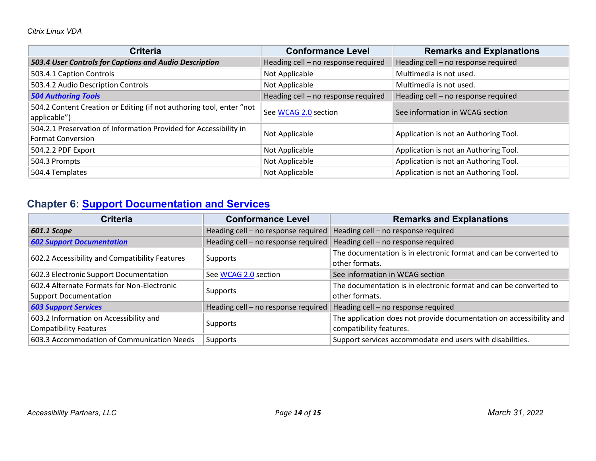| <b>Criteria</b>                                                                               | <b>Conformance Level</b>            | <b>Remarks and Explanations</b>       |
|-----------------------------------------------------------------------------------------------|-------------------------------------|---------------------------------------|
| 503.4 User Controls for Captions and Audio Description                                        | Heading cell - no response required | Heading cell - no response required   |
| 503.4.1 Caption Controls                                                                      | Not Applicable                      | Multimedia is not used.               |
| 503.4.2 Audio Description Controls                                                            | Not Applicable                      | Multimedia is not used.               |
| <b>504 Authoring Tools</b>                                                                    | Heading cell - no response required | Heading cell - no response required   |
| 504.2 Content Creation or Editing (if not authoring tool, enter "not<br>applicable")          | See WCAG 2.0 section                | See information in WCAG section       |
| 504.2.1 Preservation of Information Provided for Accessibility in<br><b>Format Conversion</b> | Not Applicable                      | Application is not an Authoring Tool. |
| 504.2.2 PDF Export                                                                            | Not Applicable                      | Application is not an Authoring Tool. |
| 504.3 Prompts                                                                                 | Not Applicable                      | Application is not an Authoring Tool. |
| 504.4 Templates                                                                               | Not Applicable                      | Application is not an Authoring Tool. |

## **Chapter 6: [Support Documentation and Services](https://www.access-board.gov/guidelines-and-standards/communications-and-it/about-the-ict-refresh/final-rule/text-of-the-standards-and-guidelines#601-general)**

| <b>Criteria</b>                                | <b>Conformance Level</b>            | <b>Remarks and Explanations</b>                                     |
|------------------------------------------------|-------------------------------------|---------------------------------------------------------------------|
| 601.1 Scope                                    | Heading cell - no response required | Heading cell - no response required                                 |
| <b>602 Support Documentation</b>               | Heading cell - no response required | Heading cell - no response required                                 |
| 602.2 Accessibility and Compatibility Features | Supports                            | The documentation is in electronic format and can be converted to   |
|                                                |                                     | other formats.                                                      |
| 602.3 Electronic Support Documentation         | See WCAG 2.0 section                | See information in WCAG section                                     |
| 602.4 Alternate Formats for Non-Electronic     | Supports                            | The documentation is in electronic format and can be converted to   |
| <b>Support Documentation</b>                   |                                     | other formats.                                                      |
| <b>603 Support Services</b>                    | Heading cell - no response required | Heading cell - no response required                                 |
| 603.2 Information on Accessibility and         |                                     | The application does not provide documentation on accessibility and |
| <b>Compatibility Features</b>                  | Supports                            | compatibility features.                                             |
| 603.3 Accommodation of Communication Needs     | Supports                            | Support services accommodate end users with disabilities.           |